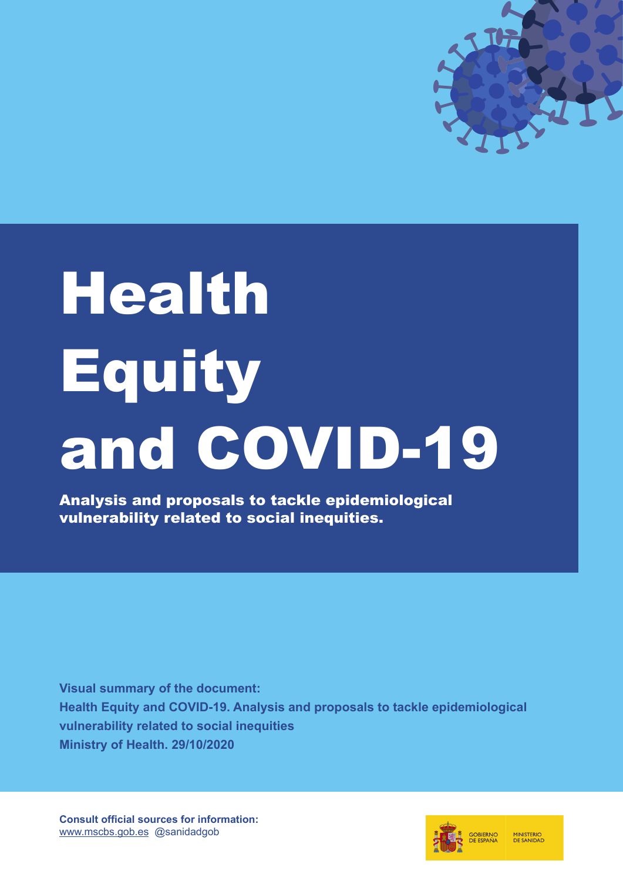

# **Health Equity** and COVID-19

Analysis and proposals to tackle epidemiological vulnerability related to social inequities.

**Visual summary of the document: [Health Equity and COVID-19. Analysis and proposals to tackle epidemiological](https://www.mscbs.gob.es/profesionales/saludPublica/ccayes/alertasActual/nCov/documentos/COVID19_Equidad_en_salud_y_COVID-19.pdf) vulnerability related to social inequities Ministry of Health. 29/10/2020**

**Consult official sources for information:** www.mscbs.gob.es @sanidadgob

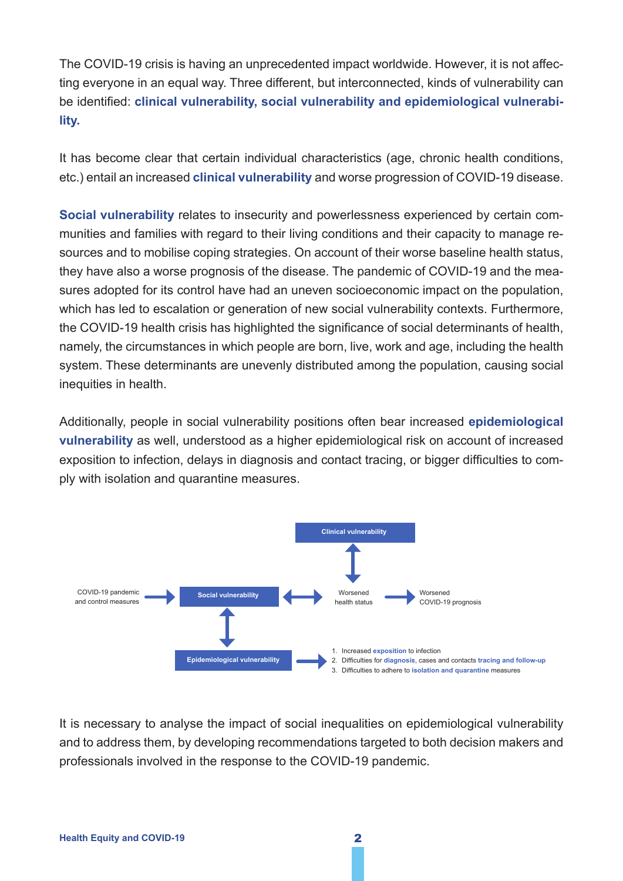The COVID-19 crisis is having an unprecedented impact worldwide. However, it is not affecting everyone in an equal way. Three different, but interconnected, kinds of vulnerability can be identified: **clinical vulnerability, social vulnerability and epidemiological vulnerability.**

It has become clear that certain individual characteristics (age, chronic health conditions, etc.) entail an increased **clinical vulnerability** and worse progression of COVID-19 disease.

**Social vulnerability** relates to insecurity and powerlessness experienced by certain communities and families with regard to their living conditions and their capacity to manage resources and to mobilise coping strategies. On account of their worse baseline health status, they have also a worse prognosis of the disease. The pandemic of COVID-19 and the measures adopted for its control have had an uneven socioeconomic impact on the population, which has led to escalation or generation of new social vulnerability contexts. Furthermore, the COVID-19 health crisis has highlighted the significance of social determinants of health, namely, the circumstances in which people are born, live, work and age, including the health system. These determinants are unevenly distributed among the population, causing social inequities in health.

Additionally, people in social vulnerability positions often bear increased **epidemiological vulnerability** as well, understood as a higher epidemiological risk on account of increased exposition to infection, delays in diagnosis and contact tracing, or bigger difficulties to comply with isolation and quarantine measures.



It is necessary to analyse the impact of social inequalities on epidemiological vulnerability and to address them, by developing recommendations targeted to both decision makers and professionals involved in the response to the COVID-19 pandemic.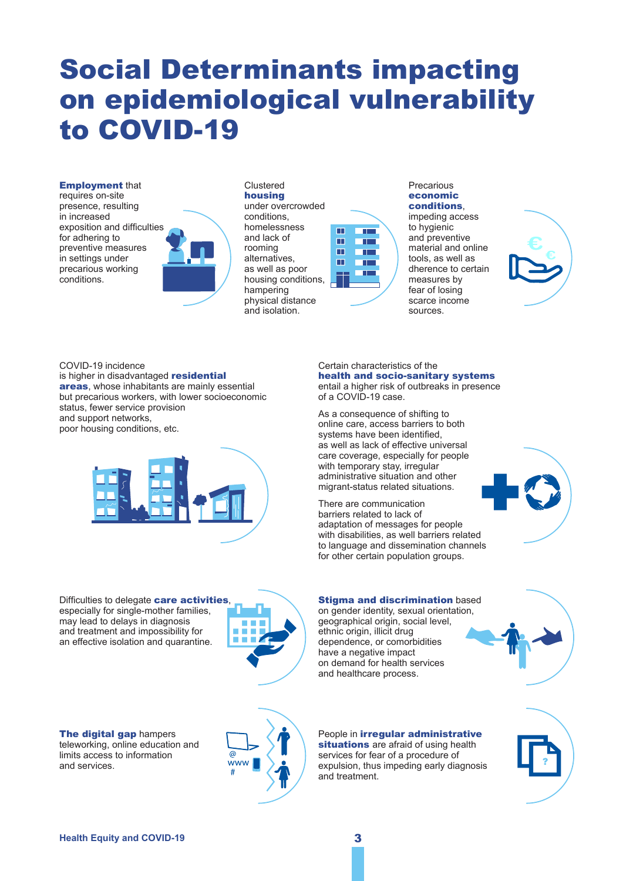# Social Determinants impacting on epidemiological vulnerability to COVID-19

#### Employment that

requires on-site presence, resulting in increased exposition and difficulties for adhering to preventive measures in settings under precarious working conditions.



Clustered housing under overcrowded conditions, homelessness and lack of rooming alternatives, as well as poor housing conditions, hampering physical distance and isolation.

#### $\blacksquare$ **TIME** m **The Company** ш  $\overline{\phantom{a}}$  $\blacksquare$ **The Company**

Precarious economic conditions, impeding access to hygienic

and preventive material and online tools, as well as dherence to certain measures by fear of losing scarce income sources.

COVID-19 incidence is higher in disadvantaged **residential** areas, whose inhabitants are mainly essential but precarious workers, with lower socioeconomic status, fewer service provision and support networks, poor housing conditions, etc.



Certain characteristics of the health and socio-sanitary systems entail a higher risk of outbreaks in presence of a COVID-19 case.

As a consequence of shifting to online care, access barriers to both systems have been identified, as well as lack of effective universal care coverage, especially for people with temporary stay, irregular administrative situation and other migrant-status related situations.

There are communication barriers related to lack of adaptation of messages for people with disabilities, as well barriers related to language and dissemination channels for other certain population groups.

**Stigma and discrimination based** on gender identity, sexual orientation, geographical origin, social level,

ethnic origin, illicit drug dependence, or comorbidities have a negative impact on demand for health services and healthcare process.



Difficulties to delegate care activities, especially for single-mother families, may lead to delays in diagnosis and treatment and impossibility for an effective isolation and quarantine.



The digital gap hampers teleworking, online education and limits access to information and services.



People in irregular administrative situations are afraid of using health services for fear of a procedure of expulsion, thus impeding early diagnosis and treatment.

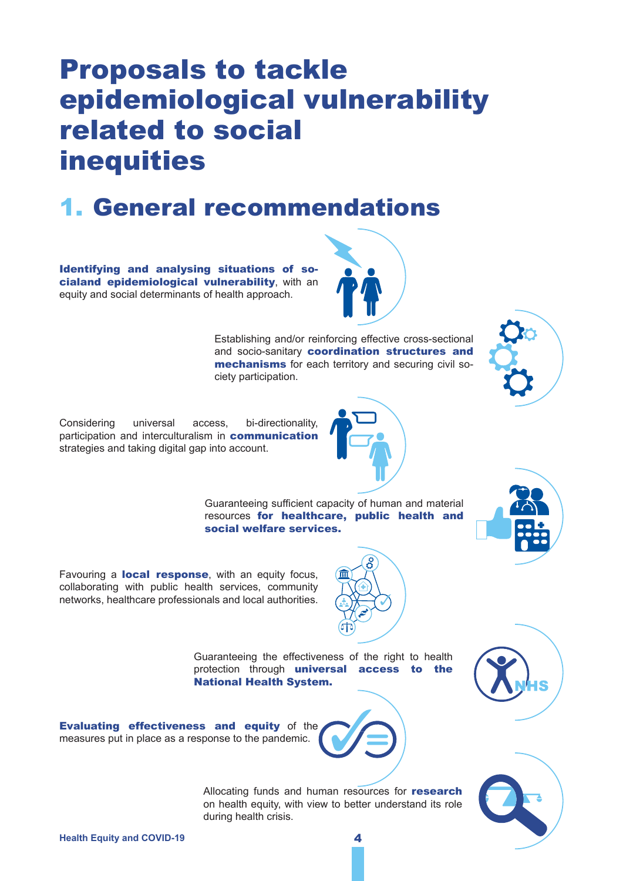# Proposals to tackle epidemiological vulnerability related to social inequities

#### 1. General recommendations

Identifying and analysing situations of socialand epidemiological vulnerability, with an equity and social determinants of health approach.



Establishing and/or reinforcing effective cross-sectional and socio-sanitary coordination structures and mechanisms for each territory and securing civil society participation.



Considering universal access, bi-directionality, participation and interculturalism in communication strategies and taking digital gap into account.



Guaranteeing sufficient capacity of human and material resources for healthcare, public health and social welfare services.



Favouring a **local response**, with an equity focus, collaborating with public health services, community networks, healthcare professionals and local authorities.



Guaranteeing the effectiveness of the right to health protection through universal access to the National Health System.



Evaluating effectiveness and equity of the measures put in place as a response to the pandemic.

> Allocating funds and human resources for research on health equity, with view to better understand its role during health crisis.

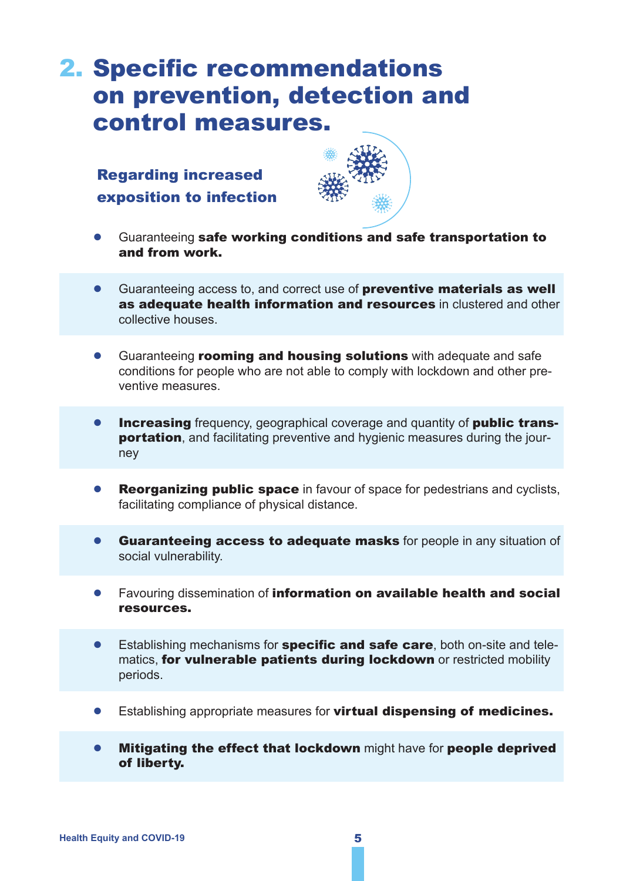### 2. Specific recommendations on prevention, detection and control measures.

Regarding increased exposition to infection



- Guaranteeing safe working conditions and safe transportation to and from work.
- Guaranteeing access to, and correct use of **preventive materials as well** as adequate health information and resources in clustered and other collective houses.
- Guaranteeing **rooming and housing solutions** with adequate and safe conditions for people who are not able to comply with lockdown and other preventive measures.
- **Increasing** frequency, geographical coverage and quantity of **public trans**portation, and facilitating preventive and hygienic measures during the journey
- **Reorganizing public space** in favour of space for pedestrians and cyclists, facilitating compliance of physical distance.
- Guaranteeing access to adequate masks for people in any situation of social vulnerability.
- Favouring dissemination of information on available health and social resources.
- Establishing mechanisms for **specific and safe care**, both on-site and telematics, for vulnerable patients during lockdown or restricted mobility periods.
- Establishing appropriate measures for **virtual dispensing of medicines.**
- Mitigating the effect that lockdown might have for people deprived of liberty.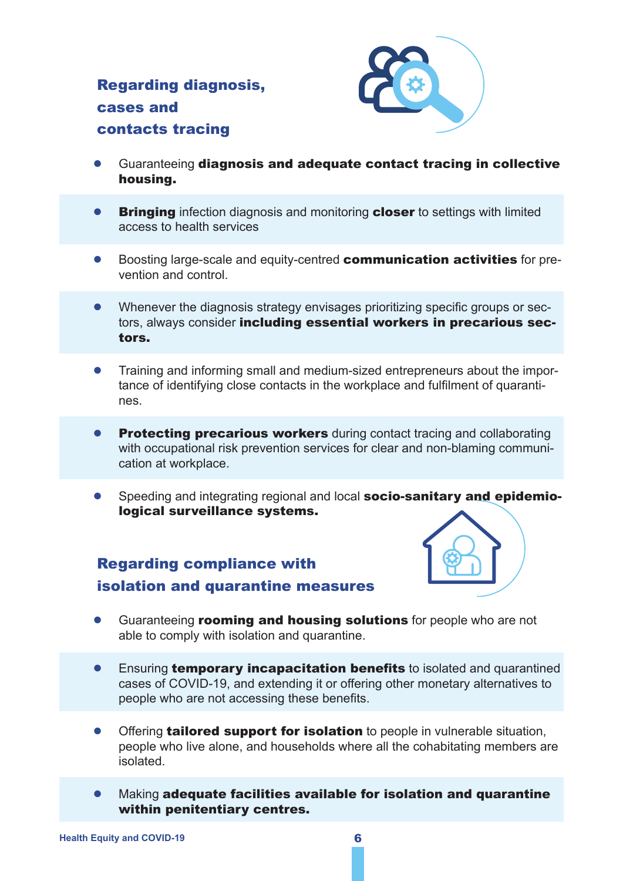#### Regarding diagnosis, cases and contacts tracing



- Guaranteeing diagnosis and adequate contact tracing in collective housing.
- **Bringing** infection diagnosis and monitoring **closer** to settings with limited access to health services
- Boosting large-scale and equity-centred **communication activities** for prevention and control.
- Whenever the diagnosis strategy envisages prioritizing specific groups or sectors, always consider including essential workers in precarious sectors.
- Training and informing small and medium-sized entrepreneurs about the importance of identifying close contacts in the workplace and fulfilment of quarantines.
- Protecting precarious workers during contact tracing and collaborating with occupational risk prevention services for clear and non-blaming communication at workplace.
- Speeding and integrating regional and local socio-sanitary and epidemiological surveillance systems.

#### Regarding compliance with isolation and quarantine measures



- Guaranteeing **rooming and housing solutions** for people who are not able to comply with isolation and quarantine.
- **•** Ensuring **temporary incapacitation benefits** to isolated and quarantined cases of COVID-19, and extending it or offering other monetary alternatives to people who are not accessing these benefits.
- Offering tailored support for isolation to people in vulnerable situation, people who live alone, and households where all the cohabitating members are isolated.
- Making adequate facilities available for isolation and quarantine within penitentiary centres.